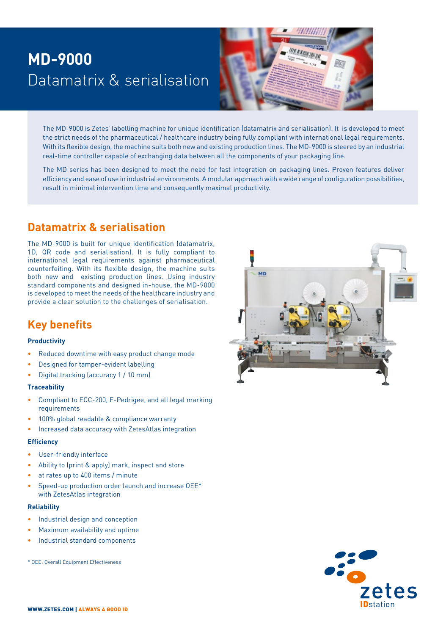# **MD-9000**  Datamatrix & serialisation



The MD-9000 is Zetes' labelling machine for unique identification (datamatrix and serialisation). It is developed to meet the strict needs of the pharmaceutical / healthcare industry being fully compliant with international legal requirements. With its flexible design, the machine suits both new and existing production lines. The MD-9000 is steered by an industrial real-time controller capable of exchanging data between all the components of your packaging line.

The MD series has been designed to meet the need for fast integration on packaging lines. Proven features deliver efficiency and ease of use in industrial environments. A modular approach with a wide range of configuration possibilities, result in minimal intervention time and consequently maximal productivity.

### **Datamatrix & serialisation**

The MD-9000 is built for unique identification (datamatrix, 1D, QR code and serialisation). It is fully compliant to international legal requirements against pharmaceutical counterfeiting. With its flexible design, the machine suits both new and existing production lines. Using industry standard components and designed in-house, the MD-9000 is developed to meet the needs of the healthcare industry and provide a clear solution to the challenges of serialisation.

## **Key benefits**

### **Productivity**

- Reduced downtime with easy product change mode
- Designed for tamper-evident labelling
- Digital tracking (accuracy 1 / 10 mm)

### **Traceability**

- Compliant to ECC-200, E-Pedrigee, and all legal marking requirements
- 100% global readable & compliance warranty
- Increased data accuracy with ZetesAtlas integration

### **Efficiency**

- User-friendly interface
- Ability to (print & apply) mark, inspect and store
- at rates up to 400 items / minute
- Speed-up production order launch and increase OEE\* with ZetesAtlas integration

### **Reliability**

- Industrial design and conception
- Maximum availability and uptime
- Industrial standard components

\* OEE: Overall Equipment Effectiveness



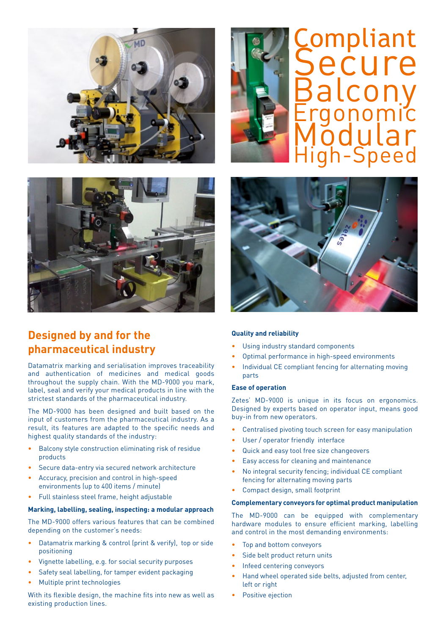



# Modular High-Speed Compliant Secure Balcony Ergonomic



## **Designed by and for the pharmaceutical industry**

Datamatrix marking and serialisation improves traceability and authentication of medicines and medical goods throughout the supply chain. With the MD-9000 you mark, label, seal and verify your medical products in line with the strictest standards of the pharmaceutical industry.

The MD-9000 has been designed and built based on the input of customers from the pharmaceutical industry. As a result, its features are adapted to the specific needs and highest quality standards of the industry:

- Balcony style construction eliminating risk of residue products
- Secure data-entry via secured network architecture
- Accuracy, precision and control in high-speed environments (up to 400 items / minute)
- Full stainless steel frame, height adjustable

#### **Marking, labelling, sealing, inspecting: a modular approach**

The MD-9000 offers various features that can be combined depending on the customer's needs:

- Datamatrix marking & control (print & verify), top or side positioning
- Vignette labelling, e.g. for social security purposes
- Safety seal labelling, for tamper evident packaging
- Multiple print technologies

With its flexible design, the machine fits into new as well as existing production lines.



### **Quality and reliability**

- Using industry standard components
- Optimal performance in high-speed environments
- Individual CE compliant fencing for alternating moving parts

### **Ease of operation**

Zetes' MD-9000 is unique in its focus on ergonomics. Designed by experts based on operator input, means good buy-in from new operators.

- Centralised pivoting touch screen for easy manipulation
- User / operator friendly interface
- Quick and easy tool free size changeovers
- Easy access for cleaning and maintenance
- No integral security fencing; individual CE compliant fencing for alternating moving parts
- Compact design, small footprint

#### **Complementary conveyors for optimal product manipulation**

The MD-9000 can be equipped with complementary hardware modules to ensure efficient marking, labelling and control in the most demanding environments:

- Top and bottom conveyors
- Side belt product return units
- Infeed centering conveyors
- Hand wheel operated side belts, adjusted from center, left or right
- Positive ejection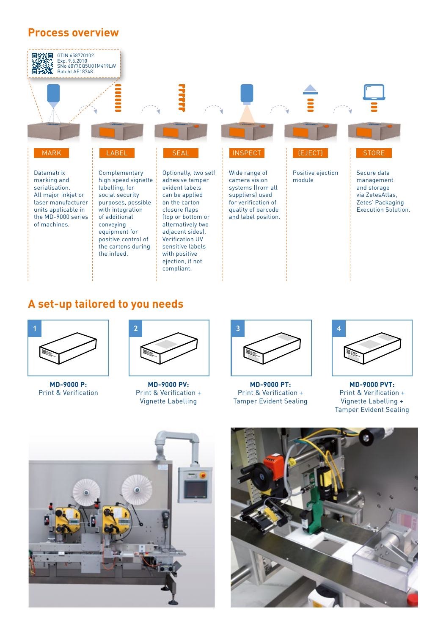### **Process overview**



### **A set-up tailored to you needs**



**MD-9000 P:** Print & Verification



**MD-9000 PV:** Print & Verification + Vignette Labelling



**MD-9000 PT:** Print & Verification + Tamper Evident Sealing



**MD-9000 PVT:** Print & Verification + Vignette Labelling + Tamper Evident Sealing